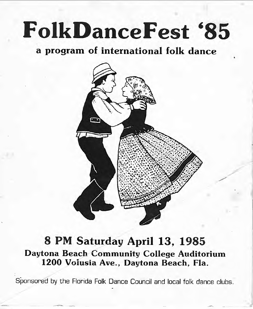# **FolkDanceFest '85**

# **a program of international folk dance**



# **8 PM Saturday April 13, 1985 Daytona Beach Community College Auditorium 1200 Volusia Ave., Daytona Beach, Fla.**

Sponsored by the Florida Folk Dance Council and local folk dance clubs.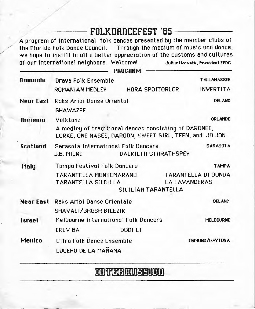# $FOLKDARICEFEST '85$

A program of international folk dances presented by the member clubs of the Florida Folk Dance Council. Through the medium of music and dance, we hope to instill in all a better appreciation of the customs and cultures of our international neighbors. Welcome! Julius Horvath, President FFDC

|                  |                                                                                                                  | <b>PROGRAM</b>       |                                             |                    |  |
|------------------|------------------------------------------------------------------------------------------------------------------|----------------------|---------------------------------------------|--------------------|--|
| Romania          | Draya Folk Ensemble                                                                                              |                      |                                             | <b>TALLAHASSEE</b> |  |
|                  | ROMANIAN MEDLEY                                                                                                  | HORA SPOITORLOR      | <b>INVERTITA</b>                            |                    |  |
| Near East        | Raks Aribi Danse Oriental                                                                                        |                      |                                             | DEL AND            |  |
|                  | <b>GHAWAZEE</b>                                                                                                  |                      |                                             |                    |  |
| Armenia          | Volktanz                                                                                                         |                      |                                             | ORL ANDO           |  |
|                  | A medley of traditional dances consisting of DARONEE,<br>LORKE, ONE NASEE, DAROON, SWEET GIRL, TEEN, and JO JON. |                      |                                             |                    |  |
| <b>Scatland</b>  | Sarasota International Folk Dancers<br>J.B. MILNE                                                                | DALKIETH STHRATHSPEY | <b>SARASOTA</b>                             |                    |  |
| <b>Italy</b>     | Tampa Festival Folk Dancers                                                                                      |                      |                                             | <b>TAMPA</b>       |  |
|                  | TARANTELLA MONTEMARANO<br><b>TARANTELLA SU DILLA</b><br>SICILIAN TARANTELLA                                      |                      | TARANTELLA DI DONDA<br><b>LA LAVANDERAS</b> |                    |  |
| <b>Near East</b> | Raks Aribi Danse Orientale                                                                                       |                      |                                             | <b>DEL AND</b>     |  |
|                  | SHAVALI/GHOSH BILEZIK                                                                                            |                      |                                             |                    |  |
| <b>Israel</b>    | Melbourne International Folk Dancers                                                                             |                      | <b>MELBOURNE</b>                            |                    |  |
|                  | <b>EREV BA</b>                                                                                                   | DODI LI              |                                             |                    |  |
| Менісо           | Cifra Folk Dance Ensemble                                                                                        |                      | ORMOND / DAYTON A                           |                    |  |
|                  | LUCERO DE LA MAÑANA                                                                                              |                      |                                             |                    |  |
|                  |                                                                                                                  |                      |                                             |                    |  |

mil'ermission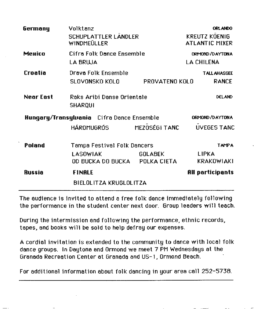| Germany                                   | Volktanz<br>SCHUPLATTLER LÄNDLER<br>WINDMEÜLLER |                | <b>ORLANDO</b><br><b>KREUTZ KÖENIG</b><br><b>ATLANTIC MIXER</b> |  |
|-------------------------------------------|-------------------------------------------------|----------------|-----------------------------------------------------------------|--|
| <b>Менісо</b>                             | Cifra Folk Dance Ensemble<br><b>LA BRUJA</b>    |                | <b>ORMOND / DAYTONA</b><br>LA CHILENA                           |  |
| Croatia                                   | Drava Folk Ensemble<br>SLOVONSKO KOLO           | PROVATENO KOLO | <b>TALLAHASSEE</b><br><b>RANCE</b>                              |  |
| Near East                                 | Raks Aribi Danse Orientale<br><b>SHARQUI</b>    |                | <b>DELAND</b>                                                   |  |
| Hungary/Transylvania Cifra Dance Ensemble |                                                 |                | ORMOND / DAYTON A                                               |  |
|                                           | HÁROMUGRÓS MEZOSÉGI TANC                        |                | <b>UVEGES TANC</b>                                              |  |
| Poland                                    | Tampa Festival Folk Dancers                     |                | <b>TAMPA</b>                                                    |  |
|                                           | <b>LASOWIAK</b>                                 | <b>GOLABEK</b> | <b>LIPKA</b>                                                    |  |
|                                           | OD BUCKA DO BUCKA POLKA CIETA                   |                | <b>KRAKOWIAKI</b>                                               |  |
| <b>Russia</b>                             | <b>FINALE</b>                                   |                | All participants                                                |  |
| BIELOLITZA KRUGLOLITZA                    |                                                 |                |                                                                 |  |

The audience is invited to attend a free folk dance immediately following the performance in the student center next door. Group leaders will teach.

During the intermission and following the performance, ethnic records, tapes, and books will be sold to help defray our expenses.

A cordial invitation is extended to the community to dance with local folk dance groups. In Daytona and Ormond we meet 7 PM Wednesdays at the Granada Recreation Center at Granada and US- 1 , Ormond Beach.

For additional information about folk dancing in your area call 252-5738.